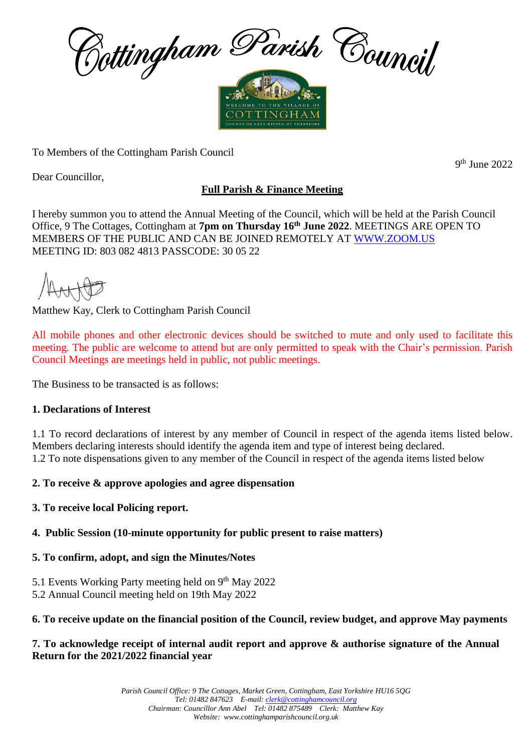

To Members of the Cottingham Parish Council

Dear Councillor,

# **Full Parish & Finance Meeting**

I hereby summon you to attend the Annual Meeting of the Council, which will be held at the Parish Council Office, 9 The Cottages, Cottingham at **7pm on Thursday 16 th June 2022**. MEETINGS ARE OPEN TO MEMBERS OF THE PUBLIC AND CAN BE JOINED REMOTELY AT [WWW.ZOOM.US](http://www.zoom.us/) MEETING ID: 803 082 4813 PASSCODE: 30 05 22

Matthew Kay, Clerk to Cottingham Parish Council

All mobile phones and other electronic devices should be switched to mute and only used to facilitate this meeting. The public are welcome to attend but are only permitted to speak with the Chair's permission. Parish Council Meetings are meetings held in public, not public meetings.

The Business to be transacted is as follows:

## **1. Declarations of Interest**

1.1 To record declarations of interest by any member of Council in respect of the agenda items listed below. Members declaring interests should identify the agenda item and type of interest being declared. 1.2 To note dispensations given to any member of the Council in respect of the agenda items listed below

## **2. To receive & approve apologies and agree dispensation**

**3. To receive local Policing report.** 

## **4. Public Session (10-minute opportunity for public present to raise matters)**

## **5. To confirm, adopt, and sign the Minutes/Notes**

- 5.1 Events Working Party meeting held on 9<sup>th</sup> May 2022
- 5.2 Annual Council meeting held on 19th May 2022

## **6. To receive update on the financial position of the Council, review budget, and approve May payments**

#### **7. To acknowledge receipt of internal audit report and approve & authorise signature of the Annual Return for the 2021/2022 financial year**

9 th June 2022